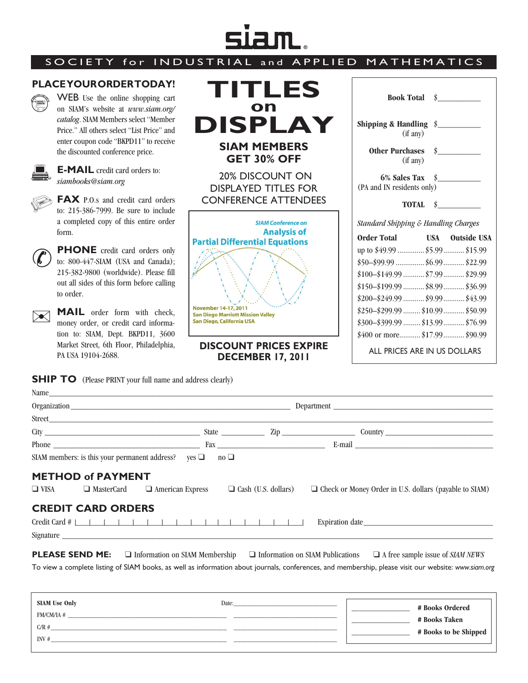## siam.

## SOCIETY for INDU

## **PLACE YOUR ORDER TODAY!**



WEB Use the online shopping cart on SIAM's website at *www.siam.org/ catalog*. SIAM Members select "Member Price." All others select "List Price" and enter coupon code "BKPD11" to receive the discounted conference price.



**E-MAIL** credit card orders to: *siambooks@siam.org*

**FAX** P.O.s and credit card orders to: 215-386-7999. Be sure to include a completed copy of this entire order form.



**PHONE** credit card orders only to: 800-447-SIAM (USA and Canada); 215-382-9800 (worldwide). Please fill out all sides of this form before calling to order.

**MAIL** order form with check, money order, or credit card information to: SIAM, Dept. BKPD11, 3600 Market Street, 6th Floor, Philadelphia, PA USA 19104-2688.  $\blacktriangleright\!\!\!\triangleleft$ 

**SHIP TO** (Please PRINT your full name and address clearly)

| <b>STRIAL and APPLIED MATHEMATICS</b>                                                                                                                                                            |                                                                                                                                                                                                                                                                                                                                                                             |
|--------------------------------------------------------------------------------------------------------------------------------------------------------------------------------------------------|-----------------------------------------------------------------------------------------------------------------------------------------------------------------------------------------------------------------------------------------------------------------------------------------------------------------------------------------------------------------------------|
| <b>TITLES</b><br>on                                                                                                                                                                              | $\dot{\mathbf{s}}$<br><b>Book Total</b>                                                                                                                                                                                                                                                                                                                                     |
| <b>DISPLAY</b>                                                                                                                                                                                   | Shipping & Handling $\sin \theta$<br>(if any)                                                                                                                                                                                                                                                                                                                               |
| <b>SIAM MEMBERS</b><br><b>GET 30% OFF</b>                                                                                                                                                        | <b>Other Purchases</b><br>$\dot{\mathbf{s}}$<br>(if any)                                                                                                                                                                                                                                                                                                                    |
| <b>20% DISCOUNT ON</b><br><b>DISPLAYED TITLES FOR</b><br><b>CONFERENCE ATTENDEES</b>                                                                                                             | $6\%$ Sales Tax $\#$<br>(PA and IN residents only)<br><b>TOTAL</b><br>$\mathbf{\hat{s}}$                                                                                                                                                                                                                                                                                    |
| <b>SIAM Conference on</b><br><b>Analysis of</b><br><b>Partial Differential Equations</b><br><b>November 14-17, 2011</b><br><b>San Diego Marriott Mission Valley</b><br>San Diego, California USA | Standard Shipping & Handling Charges<br><b>Order Total</b><br><b>USA</b> Outside USA<br>up to \$49.99  \$5.99  \$15.99<br>$$50 - $99.99$ \$6.99 \$22.99<br>$$100 - $149.99$ \$7.99  \$29.99<br>$$150-\$199.99$ \$8.99  \$36.99<br>$$200 - $249.99$ \$9.99  \$43.99<br>$$250-\$299.99$ \$10.99  \$50.99<br>$$300-\$399.99$ \$13.99  \$76.99<br>\$400 or more \$17.99 \$90.99 |
| <b>DISCOUNT PRICES EXPIRE</b><br><b>DECEMBER 17, 2011</b>                                                                                                                                        | ALL PRICES ARE IN US DOLLARS                                                                                                                                                                                                                                                                                                                                                |

| Name                                                               |                                                    |                                                                                                                                                      |  |
|--------------------------------------------------------------------|----------------------------------------------------|------------------------------------------------------------------------------------------------------------------------------------------------------|--|
|                                                                    |                                                    | Department                                                                                                                                           |  |
|                                                                    |                                                    |                                                                                                                                                      |  |
|                                                                    |                                                    |                                                                                                                                                      |  |
|                                                                    |                                                    |                                                                                                                                                      |  |
| SIAM members: is this your permanent address? yes $\Box$ no $\Box$ |                                                    |                                                                                                                                                      |  |
| <b>METHOD of PAYMENT</b>                                           |                                                    |                                                                                                                                                      |  |
| $\Box$ VISA<br>□ MasterCard                                        | $\Box$ American Express $\Box$ Cash (U.S. dollars) | $\Box$ Check or Money Order in U.S. dollars (payable to SIAM)                                                                                        |  |
| <b>CREDIT CARD ORDERS</b>                                          |                                                    |                                                                                                                                                      |  |
|                                                                    |                                                    |                                                                                                                                                      |  |
|                                                                    |                                                    |                                                                                                                                                      |  |
|                                                                    |                                                    | <b>PLEASE SEND ME:</b> $\Box$ Information on SIAM Membership $\Box$ Information on SIAM Publications $\Box$ A free sample issue of SIAM NEWS         |  |
|                                                                    |                                                    | To view a complete listing of SIAM books, as well as information about journals, conferences, and membership, please visit our website: www.siam.org |  |
|                                                                    |                                                    |                                                                                                                                                      |  |
| <b>SIAM Use Only</b>                                               |                                                    | <b># Doolse Ondoned</b>                                                                                                                              |  |

| <b>SIAM Use Only</b> | Date: | # Books Ordered       |
|----------------------|-------|-----------------------|
| FM/CM/IA #           |       | # Books Taken         |
| C/R#                 |       | # Books to be Shipped |
| INV#                 |       |                       |
|                      |       |                       |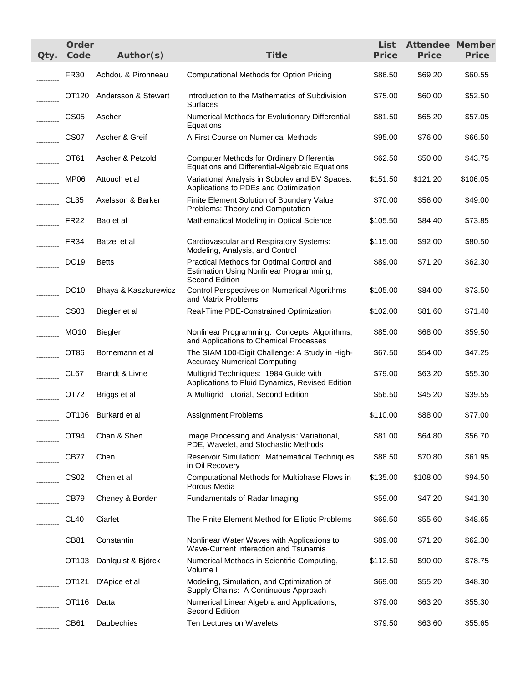| Qty.       | Order<br>Code     | Author(s)                 | <b>Title</b>                                                                                           | List<br><b>Price</b> | <b>Attendee Member</b><br><b>Price</b> | <b>Price</b> |
|------------|-------------------|---------------------------|--------------------------------------------------------------------------------------------------------|----------------------|----------------------------------------|--------------|
|            | <b>FR30</b>       | Achdou & Pironneau        | <b>Computational Methods for Option Pricing</b>                                                        | \$86.50              | \$69.20                                | \$60.55      |
|            |                   | OT120 Andersson & Stewart | Introduction to the Mathematics of Subdivision<br><b>Surfaces</b>                                      | \$75.00              | \$60.00                                | \$52.50      |
|            | <b>CS05</b>       | Ascher                    | Numerical Methods for Evolutionary Differential<br>Equations                                           | \$81.50              | \$65.20                                | \$57.05      |
|            | CS07              | Ascher & Greif            | A First Course on Numerical Methods                                                                    | \$95.00              | \$76.00                                | \$66.50      |
|            | OT61              | Ascher & Petzold          | <b>Computer Methods for Ordinary Differential</b><br>Equations and Differential-Algebraic Equations    | \$62.50              | \$50.00                                | \$43.75      |
|            | MP06              | Attouch et al             | Variational Analysis in Sobolev and BV Spaces:<br>Applications to PDEs and Optimization                | \$151.50             | \$121.20                               | \$106.05     |
|            | CL <sub>35</sub>  | Axelsson & Barker         | Finite Element Solution of Boundary Value<br>Problems: Theory and Computation                          | \$70.00              | \$56.00                                | \$49.00      |
|            | <b>FR22</b>       | Bao et al                 | Mathematical Modeling in Optical Science                                                               | \$105.50             | \$84.40                                | \$73.85      |
|            | FR34              | Batzel et al              | Cardiovascular and Respiratory Systems:<br>Modeling, Analysis, and Control                             | \$115.00             | \$92.00                                | \$80.50      |
|            | <b>DC19</b>       | <b>Betts</b>              | Practical Methods for Optimal Control and<br>Estimation Using Nonlinear Programming,<br>Second Edition | \$89.00              | \$71.20                                | \$62.30      |
|            | <b>DC10</b>       | Bhaya & Kaszkurewicz      | Control Perspectives on Numerical Algorithms<br>and Matrix Problems                                    | \$105.00             | \$84.00                                | \$73.50      |
|            | <b>CS03</b>       | Biegler et al             | Real-Time PDE-Constrained Optimization                                                                 | \$102.00             | \$81.60                                | \$71.40      |
|            | <b>MO10</b>       | <b>Biegler</b>            | Nonlinear Programming: Concepts, Algorithms,<br>and Applications to Chemical Processes                 | \$85.00              | \$68.00                                | \$59.50      |
|            | OT86              | Bornemann et al           | The SIAM 100-Digit Challenge: A Study in High-<br><b>Accuracy Numerical Computing</b>                  | \$67.50              | \$54.00                                | \$47.25      |
| ---------- | CL67              | Brandt & Livne            | Multigrid Techniques: 1984 Guide with<br>Applications to Fluid Dynamics, Revised Edition               | \$79.00              | \$63.20                                | \$55.30      |
| __________ | OT72              | Briggs et al              | A Multigrid Tutorial, Second Edition                                                                   | \$56.50              | \$45.20                                | \$39.55      |
| ---------- |                   | OT106 Burkard et al       | <b>Assignment Problems</b>                                                                             | \$110.00             | \$88.00                                | \$77.00      |
|            | OT <sub>94</sub>  | Chan & Shen               | Image Processing and Analysis: Variational,<br>PDE, Wavelet, and Stochastic Methods                    | \$81.00              | \$64.80                                | \$56.70      |
|            | CB77              | Chen                      | <b>Reservoir Simulation: Mathematical Techniques</b><br>in Oil Recovery                                | \$88.50              | \$70.80                                | \$61.95      |
|            | CS <sub>02</sub>  | Chen et al                | Computational Methods for Multiphase Flows in<br>Porous Media                                          | \$135.00             | \$108.00                               | \$94.50      |
|            | CB79              | Cheney & Borden           | Fundamentals of Radar Imaging                                                                          | \$59.00              | \$47.20                                | \$41.30      |
|            | CL <sub>40</sub>  | Ciarlet                   | The Finite Element Method for Elliptic Problems                                                        | \$69.50              | \$55.60                                | \$48.65      |
|            | CB81              | Constantin                | Nonlinear Water Waves with Applications to<br>Wave-Current Interaction and Tsunamis                    | \$89.00              | \$71.20                                | \$62.30      |
|            | OT <sub>103</sub> | Dahlquist & Björck        | Numerical Methods in Scientific Computing,<br>Volume I                                                 | \$112.50             | \$90.00                                | \$78.75      |
|            | OT121             | D'Apice et al             | Modeling, Simulation, and Optimization of<br>Supply Chains: A Continuous Approach                      | \$69.00              | \$55.20                                | \$48.30      |
|            | OT116             | Datta                     | Numerical Linear Algebra and Applications,<br>Second Edition                                           | \$79.00              | \$63.20                                | \$55.30      |
| .          | CB61              | Daubechies                | Ten Lectures on Wavelets                                                                               | \$79.50              | \$63.60                                | \$55.65      |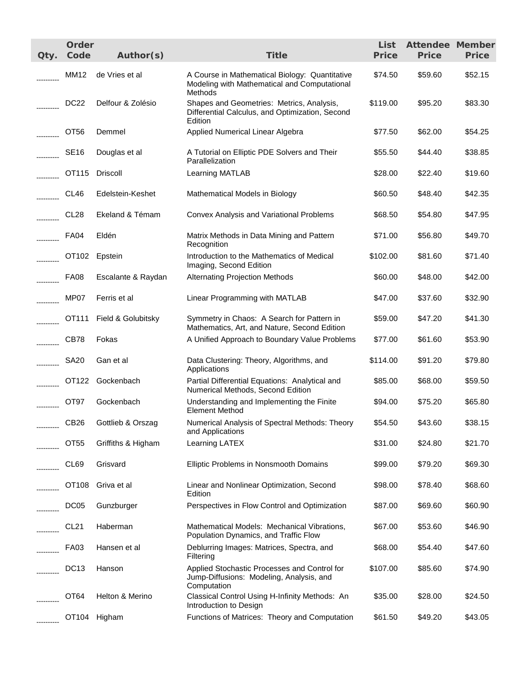| Qty. | Order<br>Code    | Author(s)          | <b>Title</b>                                                                                              | List<br><b>Price</b> | <b>Attendee Member</b><br><b>Price</b> | <b>Price</b> |
|------|------------------|--------------------|-----------------------------------------------------------------------------------------------------------|----------------------|----------------------------------------|--------------|
|      | MM12             | de Vries et al     | A Course in Mathematical Biology: Quantitative<br>Modeling with Mathematical and Computational<br>Methods | \$74.50              | \$59.60                                | \$52.15      |
|      | <b>DC22</b>      | Delfour & Zolésio  | Shapes and Geometries: Metrics, Analysis,<br>Differential Calculus, and Optimization, Second<br>Edition   | \$119.00             | \$95.20                                | \$83.30      |
|      | OT <sub>56</sub> | Demmel             | Applied Numerical Linear Algebra                                                                          | \$77.50              | \$62.00                                | \$54.25      |
|      | <b>SE16</b>      | Douglas et al      | A Tutorial on Elliptic PDE Solvers and Their<br>Parallelization                                           | \$55.50              | \$44.40                                | \$38.85      |
|      | OT115            | Driscoll           | Learning MATLAB                                                                                           | \$28.00              | \$22.40                                | \$19.60      |
|      | CL46             | Edelstein-Keshet   | Mathematical Models in Biology                                                                            | \$60.50              | \$48.40                                | \$42.35      |
|      | CL <sub>28</sub> | Ekeland & Témam    | Convex Analysis and Variational Problems                                                                  | \$68.50              | \$54.80                                | \$47.95      |
|      | <b>FA04</b>      | Eldén              | Matrix Methods in Data Mining and Pattern<br>Recognition                                                  | \$71.00              | \$56.80                                | \$49.70      |
|      | OT102            | Epstein            | Introduction to the Mathematics of Medical<br>Imaging, Second Edition                                     | \$102.00             | \$81.60                                | \$71.40      |
|      | <b>FA08</b>      | Escalante & Raydan | <b>Alternating Projection Methods</b>                                                                     | \$60.00              | \$48.00                                | \$42.00      |
|      | MP07             | Ferris et al       | Linear Programming with MATLAB                                                                            | \$47.00              | \$37.60                                | \$32.90      |
|      | OT111            | Field & Golubitsky | Symmetry in Chaos: A Search for Pattern in<br>Mathematics, Art, and Nature, Second Edition                | \$59.00              | \$47.20                                | \$41.30      |
|      | CB78             | Fokas              | A Unified Approach to Boundary Value Problems                                                             | \$77.00              | \$61.60                                | \$53.90      |
|      | <b>SA20</b>      | Gan et al          | Data Clustering: Theory, Algorithms, and<br>Applications                                                  | \$114.00             | \$91.20                                | \$79.80      |
|      |                  | OT122 Gockenbach   | Partial Differential Equations: Analytical and<br>Numerical Methods, Second Edition                       | \$85.00              | \$68.00                                | \$59.50      |
|      | OT97             | Gockenbach         | Understanding and Implementing the Finite<br><b>Element Method</b>                                        | \$94.00              | \$75.20                                | \$65.80      |
|      | CB <sub>26</sub> | Gottlieb & Orszag  | Numerical Analysis of Spectral Methods: Theory<br>and Applications                                        | \$54.50              | \$43.60                                | \$38.15      |
|      | OT <sub>55</sub> | Griffiths & Higham | Learning LATEX                                                                                            | \$31.00              | \$24.80                                | \$21.70      |
|      | CL69             | Grisvard           | Elliptic Problems in Nonsmooth Domains                                                                    | \$99.00              | \$79.20                                | \$69.30      |
|      | OT108            | Griva et al        | Linear and Nonlinear Optimization, Second<br>Edition                                                      | \$98.00              | \$78.40                                | \$68.60      |
|      | DC05             | Gunzburger         | Perspectives in Flow Control and Optimization                                                             | \$87.00              | \$69.60                                | \$60.90      |
|      | CL <sub>21</sub> | Haberman           | Mathematical Models: Mechanical Vibrations,<br>Population Dynamics, and Traffic Flow                      | \$67.00              | \$53.60                                | \$46.90      |
|      | FA03             | Hansen et al       | Deblurring Images: Matrices, Spectra, and<br>Filtering                                                    | \$68.00              | \$54.40                                | \$47.60      |
|      | DC <sub>13</sub> | Hanson             | Applied Stochastic Processes and Control for<br>Jump-Diffusions: Modeling, Analysis, and<br>Computation   | \$107.00             | \$85.60                                | \$74.90      |
|      | OT <sub>64</sub> | Helton & Merino    | Classical Control Using H-Infinity Methods: An<br>Introduction to Design                                  | \$35.00              | \$28.00                                | \$24.50      |
|      |                  | OT104 Higham       | Functions of Matrices: Theory and Computation                                                             | \$61.50              | \$49.20                                | \$43.05      |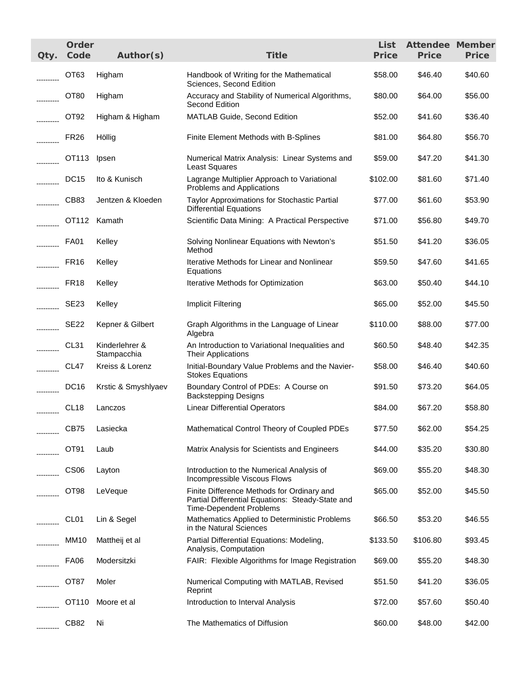| Qty.       | Order<br>Code    | Author(s)                     | <b>Title</b>                                                                                                                     | List<br><b>Price</b> | <b>Attendee Member</b><br><b>Price</b> | <b>Price</b> |
|------------|------------------|-------------------------------|----------------------------------------------------------------------------------------------------------------------------------|----------------------|----------------------------------------|--------------|
|            | OT <sub>63</sub> | Higham                        | Handbook of Writing for the Mathematical<br>Sciences, Second Edition                                                             | \$58.00              | \$46.40                                | \$40.60      |
|            | OT <sub>80</sub> | Higham                        | Accuracy and Stability of Numerical Algorithms,<br>Second Edition                                                                | \$80.00              | \$64.00                                | \$56.00      |
|            | OT <sub>92</sub> | Higham & Higham               | MATLAB Guide, Second Edition                                                                                                     | \$52.00              | \$41.60                                | \$36.40      |
|            | FR <sub>26</sub> | Höllig                        | Finite Element Methods with B-Splines                                                                                            | \$81.00              | \$64.80                                | \$56.70      |
|            | OT113            | Ipsen                         | Numerical Matrix Analysis: Linear Systems and<br><b>Least Squares</b>                                                            | \$59.00              | \$47.20                                | \$41.30      |
|            | DC <sub>15</sub> | Ito & Kunisch                 | Lagrange Multiplier Approach to Variational<br>Problems and Applications                                                         | \$102.00             | \$81.60                                | \$71.40      |
|            | CB83             | Jentzen & Kloeden             | Taylor Approximations for Stochastic Partial<br><b>Differential Equations</b>                                                    | \$77.00              | \$61.60                                | \$53.90      |
|            |                  | OT112 Kamath                  | Scientific Data Mining: A Practical Perspective                                                                                  | \$71.00              | \$56.80                                | \$49.70      |
| .          | <b>FA01</b>      | Kelley                        | Solving Nonlinear Equations with Newton's<br>Method                                                                              | \$51.50              | \$41.20                                | \$36.05      |
|            | <b>FR16</b>      | Kelley                        | Iterative Methods for Linear and Nonlinear<br>Equations                                                                          | \$59.50              | \$47.60                                | \$41.65      |
| .          | FR <sub>18</sub> | Kelley                        | Iterative Methods for Optimization                                                                                               | \$63.00              | \$50.40                                | \$44.10      |
|            | <b>SE23</b>      | Kelley                        | Implicit Filtering                                                                                                               | \$65.00              | \$52.00                                | \$45.50      |
|            | SE <sub>22</sub> | Kepner & Gilbert              | Graph Algorithms in the Language of Linear<br>Algebra                                                                            | \$110.00             | \$88.00                                | \$77.00      |
| ---------- | CL <sub>31</sub> | Kinderlehrer &<br>Stampacchia | An Introduction to Variational Inequalities and<br><b>Their Applications</b>                                                     | \$60.50              | \$48.40                                | \$42.35      |
| ---------- | CL47             | Kreiss & Lorenz               | Initial-Boundary Value Problems and the Navier-<br><b>Stokes Equations</b>                                                       | \$58.00              | \$46.40                                | \$40.60      |
|            | <b>DC16</b>      | Krstic & Smyshlyaev           | Boundary Control of PDEs: A Course on<br><b>Backstepping Designs</b>                                                             | \$91.50              | \$73.20                                | \$64.05      |
| ---------- | CL <sub>18</sub> | Lanczos                       | <b>Linear Differential Operators</b>                                                                                             | \$84.00              | \$67.20                                | \$58.80      |
|            | CB75             | Lasiecka                      | Mathematical Control Theory of Coupled PDEs                                                                                      | \$77.50              | \$62.00                                | \$54.25      |
|            | OT91             | Laub                          | Matrix Analysis for Scientists and Engineers                                                                                     | \$44.00              | \$35.20                                | \$30.80      |
|            | CS <sub>06</sub> | Layton                        | Introduction to the Numerical Analysis of<br>Incompressible Viscous Flows                                                        | \$69.00              | \$55.20                                | \$48.30      |
|            | OT <sub>98</sub> | LeVeque                       | Finite Difference Methods for Ordinary and<br>Partial Differential Equations: Steady-State and<br><b>Time-Dependent Problems</b> | \$65.00              | \$52.00                                | \$45.50      |
|            | CL <sub>01</sub> | Lin & Segel                   | Mathematics Applied to Deterministic Problems<br>in the Natural Sciences                                                         | \$66.50              | \$53.20                                | \$46.55      |
|            | <b>MM10</b>      | Mattheij et al                | Partial Differential Equations: Modeling,<br>Analysis, Computation                                                               | \$133.50             | \$106.80                               | \$93.45      |
|            | <b>FA06</b>      | Modersitzki                   | FAIR: Flexible Algorithms for Image Registration                                                                                 | \$69.00              | \$55.20                                | \$48.30      |
|            | OT87             | Moler                         | Numerical Computing with MATLAB, Revised<br>Reprint                                                                              | \$51.50              | \$41.20                                | \$36.05      |
|            | OT110            | Moore et al                   | Introduction to Interval Analysis                                                                                                | \$72.00              | \$57.60                                | \$50.40      |
| .          | CB82             | Ni                            | The Mathematics of Diffusion                                                                                                     | \$60.00              | \$48.00                                | \$42.00      |